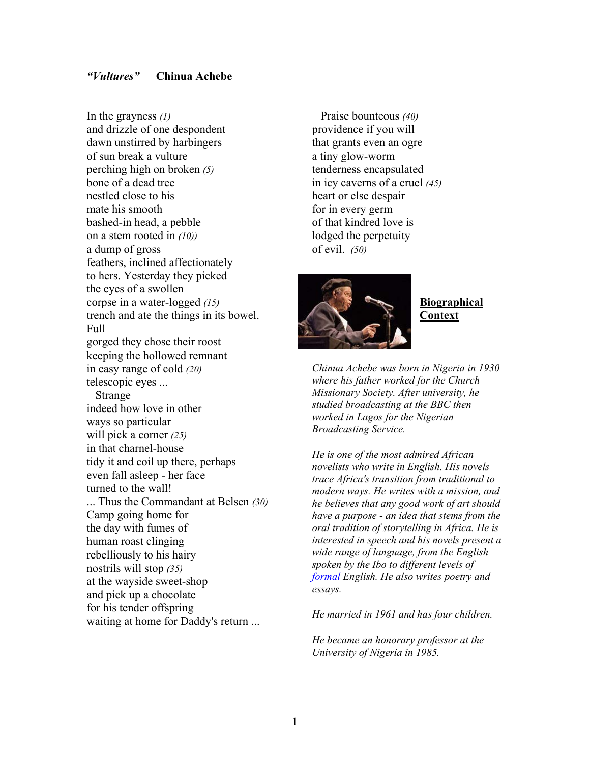#### *"Vultures"* **Chinua Achebe**

In the grayness *(1)* and drizzle of one despondent dawn unstirred by harbingers of sun break a vulture perching high on broken *(5)* bone of a dead tree nestled close to his mate his smooth bashed-in head, a pebble on a stem rooted in *(10))* a dump of gross feathers, inclined affectionately to hers. Yesterday they picked the eyes of a swollen corpse in a water-logged *(15)* trench and ate the things in its bowel. Full gorged they chose their roost keeping the hollowed remnant in easy range of cold *(20)* telescopic eyes ... Strange indeed how love in other ways so particular will pick a corner *(25)* in that charnel-house tidy it and coil up there, perhaps even fall asleep - her face turned to the wall! ... Thus the Commandant at Belsen *(30)* Camp going home for the day with fumes of human roast clinging rebelliously to his hairy nostrils will stop *(35)* at the wayside sweet-shop and pick up a chocolate for his tender offspring waiting at home for Daddy's return ...

 Praise bounteous *(40)* providence if you will that grants even an ogre a tiny glow-worm tenderness encapsulated in icy caverns of a cruel *(45)* heart or else despair for in every germ of that kindred love is lodged the perpetuity of evil. *(50)*



**Biographical Context**

*Chinua Achebe was born in Nigeria in 1930 where his father worked for the Church Missionary Society. After university, he studied broadcasting at the BBC then worked in Lagos for the Nigerian Broadcasting Service.* 

*He is one of the most admired African novelists who write in English. His novels trace Africa's transition from traditional to modern ways. He writes with a mission, and he believes that any good work of art should have a purpose - an idea that stems from the oral tradition of storytelling in Africa. He is interested in speech and his novels present a wide range of language, from the English spoken by the Ibo to different levels of formal English. He also writes poetry and essays.* 

*He married in 1961 and has four children.* 

*He became an honorary professor at the University of Nigeria in 1985.*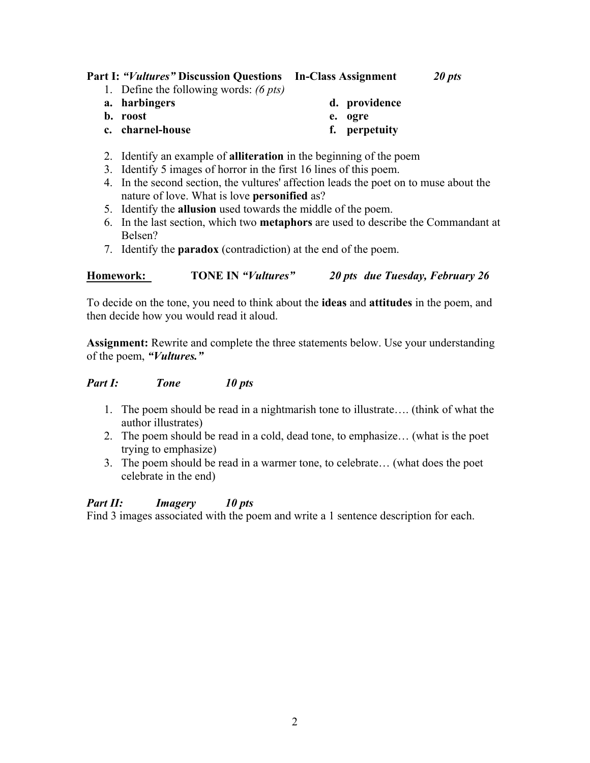## **Part I:** *"Vultures"* **Discussion Questions In-Class Assignment** *20 pts*

- 1. Define the following words: *(6 pts)*
- **a. harbingers**

**c. charnel-house** 

**b. roost** 

**d. providence** 

- **e. ogre** 
	- **f. perpetuity**
- 2. Identify an example of **alliteration** in the beginning of the poem
- 3. Identify 5 images of horror in the first 16 lines of this poem.
- 4. In the second section, the vultures' affection leads the poet on to muse about the nature of love. What is love **personified** as?
- 5. Identify the **allusion** used towards the middle of the poem.
- 6. In the last section, which two **metaphors** are used to describe the Commandant at Belsen?
- 7. Identify the **paradox** (contradiction) at the end of the poem.

## **Homework: TONE IN** *"Vultures" 20 pts due Tuesday, February 26*

To decide on the tone, you need to think about the **ideas** and **attitudes** in the poem, and then decide how you would read it aloud.

**Assignment:** Rewrite and complete the three statements below. Use your understanding of the poem, *"Vultures."* 

#### *Part I: Tone 10 pts*

- 1. The poem should be read in a nightmarish tone to illustrate…. (think of what the author illustrates)
- 2. The poem should be read in a cold, dead tone, to emphasize… (what is the poet trying to emphasize)
- 3. The poem should be read in a warmer tone, to celebrate… (what does the poet celebrate in the end)

#### *Part II: Imagery 10 pts*

Find 3 images associated with the poem and write a 1 sentence description for each.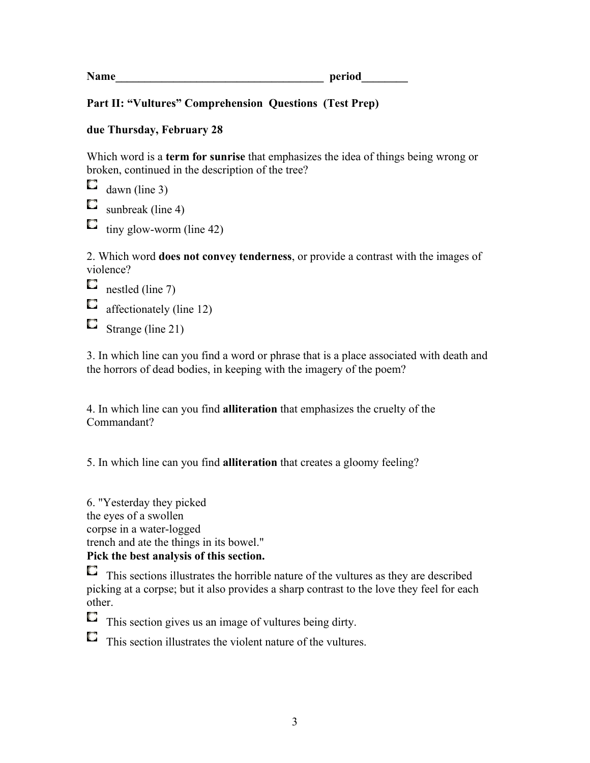**Name period** 

# **Part II: "Vultures" Comprehension Questions (Test Prep)**

#### **due Thursday, February 28**

Which word is a **term for sunrise** that emphasizes the idea of things being wrong or broken, continued in the description of the tree?

O dawn (line 3)

О sunbreak (line 4)

O tiny glow-worm (line 42)

2. Which word **does not convey tenderness**, or provide a contrast with the images of violence?

 $\Box$  nestled (line 7)

 $\Box$ affectionately (line 12)

 $\Box$  Strange (line 21)

3. In which line can you find a word or phrase that is a place associated with death and the horrors of dead bodies, in keeping with the imagery of the poem?

4. In which line can you find **alliteration** that emphasizes the cruelty of the Commandant?

5. In which line can you find **alliteration** that creates a gloomy feeling?

6. "Yesterday they picked the eyes of a swollen corpse in a water-logged trench and ate the things in its bowel." **Pick the best analysis of this section.** 

O This sections illustrates the horrible nature of the vultures as they are described picking at a corpse; but it also provides a sharp contrast to the love they feel for each other.

 $\Box$  This section gives us an image of vultures being dirty.

This section illustrates the violent nature of the vultures.